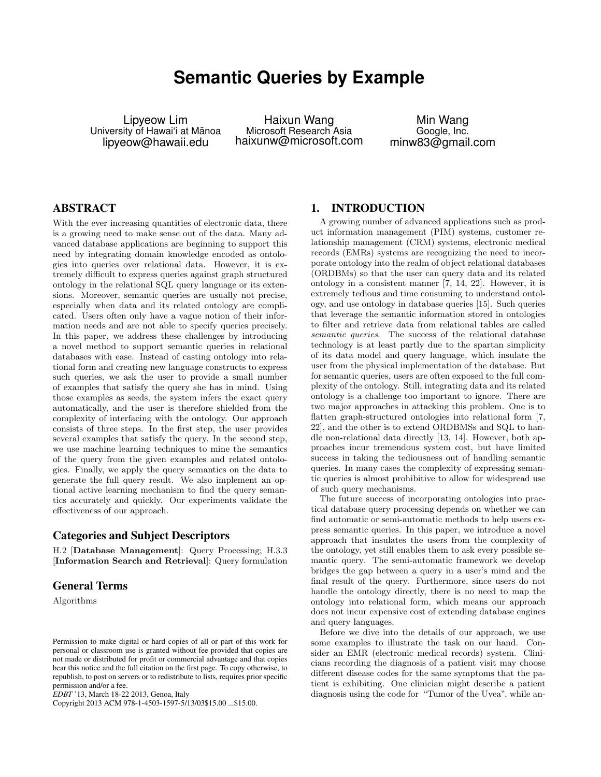# **Semantic Queries by Example**

Lipyeow Lim University of Hawai'i at Manoa ¯ lipyeow@hawaii.edu

Haixun Wang Microsoft Research Asia haixunw@microsoft.com

Min Wang Google, Inc. minw83@gmail.com

# **ABSTRACT**

With the ever increasing quantities of electronic data, there is a growing need to make sense out of the data. Many advanced database applications are beginning to support this need by integrating domain knowledge encoded as ontologies into queries over relational data. However, it is extremely difficult to express queries against graph structured ontology in the relational SQL query language or its extensions. Moreover, semantic queries are usually not precise, especially when data and its related ontology are complicated. Users often only have a vague notion of their information needs and are not able to specify queries precisely. In this paper, we address these challenges by introducing a novel method to support semantic queries in relational databases with ease. Instead of casting ontology into relational form and creating new language constructs to express such queries, we ask the user to provide a small number of examples that satisfy the query she has in mind. Using those examples as seeds, the system infers the exact query automatically, and the user is therefore shielded from the complexity of interfacing with the ontology. Our approach consists of three steps. In the first step, the user provides several examples that satisfy the query. In the second step, we use machine learning techniques to mine the semantics of the query from the given examples and related ontologies. Finally, we apply the query semantics on the data to generate the full query result. We also implement an optional active learning mechanism to find the query semantics accurately and quickly. Our experiments validate the effectiveness of our approach.

## **Categories and Subject Descriptors**

H.2 [Database Management]: Query Processing; H.3.3 [Information Search and Retrieval]: Query formulation

# **General Terms**

Algorithms

Copyright 2013 ACM 978-1-4503-1597-5/13/03\$15.00 ...\$15.00.

# **1. INTRODUCTION**

A growing number of advanced applications such as product information management (PIM) systems, customer relationship management (CRM) systems, electronic medical records (EMRs) systems are recognizing the need to incorporate ontology into the realm of object relational databases (ORDBMs) so that the user can query data and its related ontology in a consistent manner [7, 14, 22]. However, it is extremely tedious and time consuming to understand ontology, and use ontology in database queries [15]. Such queries that leverage the semantic information stored in ontologies to filter and retrieve data from relational tables are called semantic queries. The success of the relational database technology is at least partly due to the spartan simplicity of its data model and query language, which insulate the user from the physical implementation of the database. But for semantic queries, users are often exposed to the full complexity of the ontology. Still, integrating data and its related ontology is a challenge too important to ignore. There are two major approaches in attacking this problem. One is to flatten graph-structured ontologies into relational form [7, 22], and the other is to extend ORDBMSs and SQL to handle non-relational data directly [13, 14]. However, both approaches incur tremendous system cost, but have limited success in taking the tediousness out of handling semantic queries. In many cases the complexity of expressing semantic queries is almost prohibitive to allow for widespread use of such query mechanisms.

The future success of incorporating ontologies into practical database query processing depends on whether we can find automatic or semi-automatic methods to help users express semantic queries. In this paper, we introduce a novel approach that insulates the users from the complexity of the ontology, yet still enables them to ask every possible semantic query. The semi-automatic framework we develop bridges the gap between a query in a user's mind and the final result of the query. Furthermore, since users do not handle the ontology directly, there is no need to map the ontology into relational form, which means our approach does not incur expensive cost of extending database engines and query languages.

Before we dive into the details of our approach, we use some examples to illustrate the task on our hand. Consider an EMR (electronic medical records) system. Clinicians recording the diagnosis of a patient visit may choose different disease codes for the same symptoms that the patient is exhibiting. One clinician might describe a patient diagnosis using the code for "Tumor of the Uvea", while an-

Permission to make digital or hard copies of all or part of this work for personal or classroom use is granted without fee provided that copies are not made or distributed for profit or commercial advantage and that copies bear this notice and the full citation on the first page. To copy otherwise, to republish, to post on servers or to redistribute to lists, requires prior specific permission and/or a fee.

*EDBT* '13, March 18-22 2013, Genoa, Italy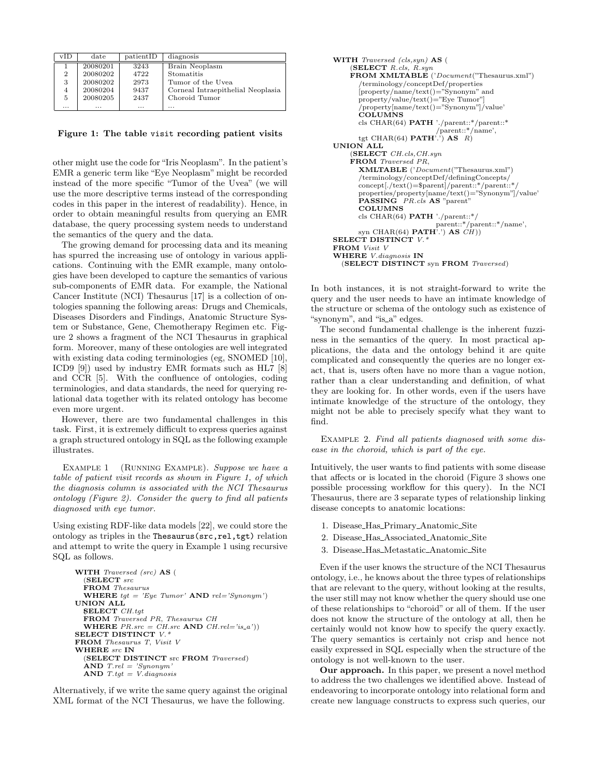| vID            | date     | patientID | diagnosis                         |
|----------------|----------|-----------|-----------------------------------|
|                | 20080201 | 3243      | Brain Neoplasm                    |
| $\overline{2}$ | 20080202 | 4722      | Stomatitis                        |
| 3              | 20080202 | 2973      | Tumor of the Uyea                 |
| 4              | 20080204 | 9437      | Corneal Intraepithelial Neoplasia |
| 5              | 20080205 | 2437      | Choroid Tumor                     |
| .              | $\cdots$ | $\cdots$  |                                   |

Figure 1: The table visit recording patient visits

other might use the code for "Iris Neoplasm". In the patient's EMR a generic term like "Eye Neoplasm" might be recorded instead of the more specific "Tumor of the Uvea" (we will use the more descriptive terms instead of the corresponding codes in this paper in the interest of readability). Hence, in order to obtain meaningful results from querying an EMR database, the query processing system needs to understand the semantics of the query and the data.

The growing demand for processing data and its meaning has spurred the increasing use of ontology in various applications. Continuing with the EMR example, many ontologies have been developed to capture the semantics of various sub-components of EMR data. For example, the National Cancer Institute (NCI) Thesaurus [17] is a collection of ontologies spanning the following areas: Drugs and Chemicals, Diseases Disorders and Findings, Anatomic Structure System or Substance, Gene, Chemotherapy Regimen etc. Figure 2 shows a fragment of the NCI Thesaurus in graphical form. Moreover, many of these ontologies are well integrated with existing data coding terminologies (eg, SNOMED [10], ICD9 [9]) used by industry EMR formats such as HL7 [8] and CCR [5]. With the confluence of ontologies, coding terminologies, and data standards, the need for querying relational data together with its related ontology has become even more urgent.

However, there are two fundamental challenges in this task. First, it is extremely difficult to express queries against a graph structured ontology in SQL as the following example illustrates.

EXAMPLE 1 (RUNNING EXAMPLE). Suppose we have a table of patient visit records as shown in Figure 1, of which the diagnosis column is associated with the NCI Thesaurus ontology (Figure 2). Consider the query to find all patients diagnosed with eye tumor.

Using existing RDF-like data models [22], we could store the ontology as triples in the Thesaurus(src,rel,tgt) relation and attempt to write the query in Example 1 using recursive SQL as follows.

```
WITH Traversed (src) AS (
  (SELECT src
  FROM Thesaurus
  WHERE tgt = 'Eye \; Tumor' \; AND \; rel = 'Synonym')UNION ALL
  (SELECT CH.tgt
  FROM Traversed PR, Thesaurus CH
  WHERE PR.src = CH.src AND CH.rel='is_a')SELECT DISTINCT V.*
FROM Thesaurus T, Visit V
WHERE src IN
  (SELECT DISTINCT src FROM Traversed)
  AND T.rel = 'Synonym'
  AND T.tgt = V.diagnosis
```
Alternatively, if we write the same query against the original XML format of the NCI Thesaurus, we have the following.

```
WITH Traversed (cls,syn) AS (
     (SELECT R.class, \overline{R}.syn)<br>FROM XMLTABLE ('Document("Thesaurus.xml")
        /terminology/conceptDef/properties
        [property/name/text()="Synonym" and
        \text{property}/\text{value}/\text{text})(="Eye Tumor"
        /property[name/text()="Synonym"]/value'
COLUMNS
        cls CHAR(64) PATH './parent::*/parent::*
        \gammaparent::*/name',<br>tgt CHAR(64) PATH'.') AS R)
UNION ALL
     (SELECT CH.cls,CH.syn
     FROM Traversed PR.
        XMLTABLE ('Document("Thesaurus.xml")
        /terminology/conceptDef/definingConcepts/
        concept[./text()=$parent]/parent::*/parent::*/
        properties/property[name/text()="Synonym"]/value'<br>PASSING PR.cls AS "parent"
        COLUMNS
        cls CHAR(64) \mathbf{PATH}'./parent::*/
                              parent::*/parent::*/name',
SELECT DISTINCT V.*<br>SELECT DISTINCT V.*
FROM Visit V
WHERE V.diagnosis IN
  (SELECT DISTINCT syn FROM Traversed)
```
In both instances, it is not straight-forward to write the query and the user needs to have an intimate knowledge of the structure or schema of the ontology such as existence of "synonym", and "is\_a" edges.

The second fundamental challenge is the inherent fuzziness in the semantics of the query. In most practical applications, the data and the ontology behind it are quite complicated and consequently the queries are no longer exact, that is, users often have no more than a vague notion, rather than a clear understanding and definition, of what they are looking for. In other words, even if the users have intimate knowledge of the structure of the ontology, they might not be able to precisely specify what they want to find.

EXAMPLE 2. Find all patients diagnosed with some disease in the choroid, which is part of the eye.

Intuitively, the user wants to find patients with some disease that affects or is located in the choroid (Figure 3 shows one possible processing workflow for this query). In the NCI Thesaurus, there are 3 separate types of relationship linking disease concepts to anatomic locations:

- 1. Disease Has Primary Anatomic Site
- 2. Disease Has Associated Anatomic Site
- 3. Disease Has Metastatic Anatomic Site

Even if the user knows the structure of the NCI Thesaurus ontology, i.e., he knows about the three types of relationships that are relevant to the query, without looking at the results, the user still may not know whether the query should use one of these relationships to "choroid" or all of them. If the user does not know the structure of the ontology at all, then he certainly would not know how to specify the query exactly. The query semantics is certainly not crisp and hence not easily expressed in SQL especially when the structure of the ontology is not well-known to the user.

Our approach. In this paper, we present a novel method to address the two challenges we identified above. Instead of endeavoring to incorporate ontology into relational form and create new language constructs to express such queries, our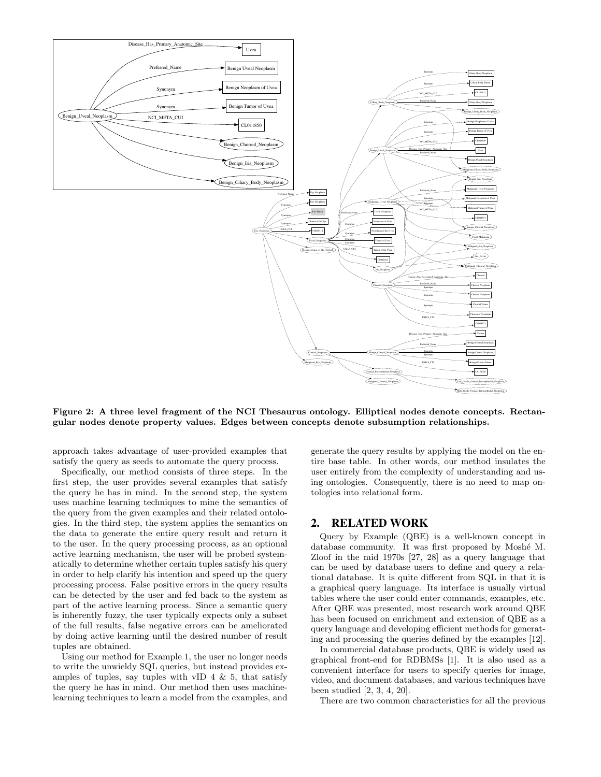

Figure 2: A three level fragment of the NCI Thesaurus ontology. Elliptical nodes denote concepts. Rectangular nodes denote property values. Edges between concepts denote subsumption relationships.

approach takes advantage of user-provided examples that satisfy the query as seeds to automate the query process.

Specifically, our method consists of three steps. In the first step, the user provides several examples that satisfy the query he has in mind. In the second step, the system uses machine learning techniques to mine the semantics of the query from the given examples and their related ontologies. In the third step, the system applies the semantics on the data to generate the entire query result and return it to the user. In the query processing process, as an optional active learning mechanism, the user will be probed systematically to determine whether certain tuples satisfy his query in order to help clarify his intention and speed up the query processing process. False positive errors in the query results can be detected by the user and fed back to the system as part of the active learning process. Since a semantic query is inherently fuzzy, the user typically expects only a subset of the full results, false negative errors can be ameliorated by doing active learning until the desired number of result tuples are obtained.

Using our method for Example 1, the user no longer needs to write the unwieldy SQL queries, but instead provides examples of tuples, say tuples with vID 4  $\&$  5, that satisfy the query he has in mind. Our method then uses machinelearning techniques to learn a model from the examples, and generate the query results by applying the model on the entire base table. In other words, our method insulates the user entirely from the complexity of understanding and using ontologies. Consequently, there is no need to map ontologies into relational form.

# **2. RELATED WORK**

Query by Example (QBE) is a well-known concept in database community. It was first proposed by Moshé M. Zloof in the mid 1970s [27, 28] as a query language that can be used by database users to define and query a relational database. It is quite different from SQL in that it is a graphical query language. Its interface is usually virtual tables where the user could enter commands, examples, etc. After QBE was presented, most research work around QBE has been focused on enrichment and extension of QBE as a query language and developing efficient methods for generating and processing the queries defined by the examples [12].

In commercial database products, QBE is widely used as graphical front-end for RDBMSs [1]. It is also used as a convenient interface for users to specify queries for image, video, and document databases, and various techniques have been studied [2, 3, 4, 20].

There are two common characteristics for all the previous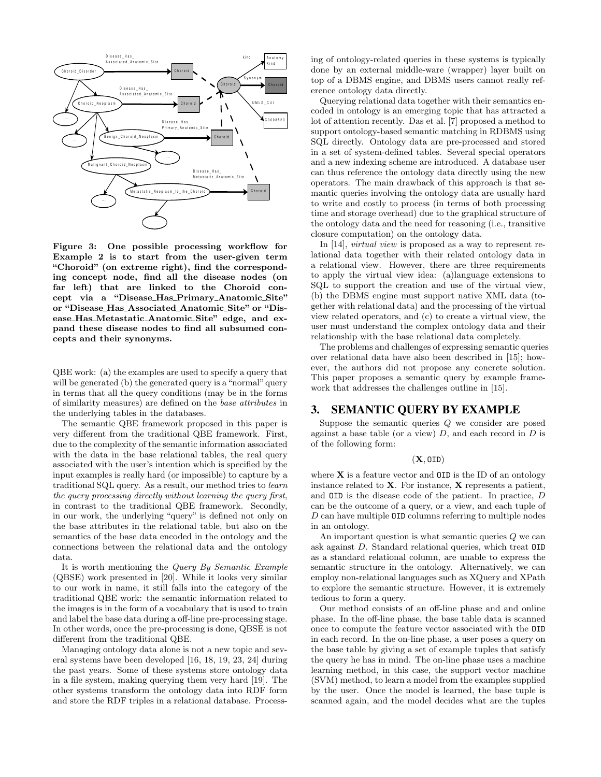

Figure 3: One possible processing workflow for Example 2 is to start from the user-given term "Choroid" (on extreme right), find the corresponding concept node, find all the disease nodes (on far left) that are linked to the Choroid concept via a "Disease Has Primary Anatomic Site" or "Disease Has Associated Anatomic Site" or "Disease Has Metastatic Anatomic Site" edge, and expand these disease nodes to find all subsumed concepts and their synonyms.

QBE work: (a) the examples are used to specify a query that will be generated (b) the generated query is a "normal" query in terms that all the query conditions (may be in the forms of similarity measures) are defined on the base attributes in the underlying tables in the databases.

The semantic QBE framework proposed in this paper is very different from the traditional QBE framework. First, due to the complexity of the semantic information associated with the data in the base relational tables, the real query associated with the user's intention which is specified by the input examples is really hard (or impossible) to capture by a traditional SQL query. As a result, our method tries to learn the query processing directly without learning the query first, in contrast to the traditional QBE framework. Secondly, in our work, the underlying "query" is defined not only on the base attributes in the relational table, but also on the semantics of the base data encoded in the ontology and the connections between the relational data and the ontology data.

It is worth mentioning the Query By Semantic Example (QBSE) work presented in [20]. While it looks very similar to our work in name, it still falls into the category of the traditional QBE work: the semantic information related to the images is in the form of a vocabulary that is used to train and label the base data during a off-line pre-processing stage. In other words, once the pre-processing is done, QBSE is not different from the traditional QBE.

Managing ontology data alone is not a new topic and several systems have been developed [16, 18, 19, 23, 24] during the past years. Some of these systems store ontology data in a file system, making querying them very hard [19]. The other systems transform the ontology data into RDF form and store the RDF triples in a relational database. Processing of ontology-related queries in these systems is typically done by an external middle-ware (wrapper) layer built on top of a DBMS engine, and DBMS users cannot really reference ontology data directly.

Querying relational data together with their semantics encoded in ontology is an emerging topic that has attracted a lot of attention recently. Das et al. [7] proposed a method to support ontology-based semantic matching in RDBMS using SQL directly. Ontology data are pre-processed and stored in a set of system-defined tables. Several special operators and a new indexing scheme are introduced. A database user can thus reference the ontology data directly using the new operators. The main drawback of this approach is that semantic queries involving the ontology data are usually hard to write and costly to process (in terms of both processing time and storage overhead) due to the graphical structure of the ontology data and the need for reasoning (i.e., transitive closure computation) on the ontology data.

In [14], *virtual view* is proposed as a way to represent relational data together with their related ontology data in a relational view. However, there are three requirements to apply the virtual view idea: (a)language extensions to SQL to support the creation and use of the virtual view, (b) the DBMS engine must support native XML data (together with relational data) and the processing of the virtual view related operators, and (c) to create a virtual view, the user must understand the complex ontology data and their relationship with the base relational data completely.

The problems and challenges of expressing semantic queries over relational data have also been described in [15]; however, the authors did not propose any concrete solution. This paper proposes a semantic query by example framework that addresses the challenges outline in [15].

## **3. SEMANTIC QUERY BY EXAMPLE**

Suppose the semantic queries  $Q$  we consider are posed against a base table (or a view)  $D$ , and each record in  $D$  is of the following form:

## (X, OID)

where  $X$  is a feature vector and  $OID$  is the ID of an ontology instance related to  $X$ . For instance,  $X$  represents a patient, and  $OID$  is the disease code of the patient. In practice,  $D$ can be the outcome of a query, or a view, and each tuple of  $D$  can have multiple  $\texttt{OLD}$  columns referring to multiple nodes in an ontology.

An important question is what semantic queries  $Q$  we can ask against  $D$ . Standard relational queries, which treat  $OD$ as a standard relational column, are unable to express the semantic structure in the ontology. Alternatively, we can employ non-relational languages such as XQuery and XPath to explore the semantic structure. However, it is extremely tedious to form a query.

Our method consists of an off-line phase and and online phase. In the off-line phase, the base table data is scanned once to compute the feature vector associated with the OID in each record. In the on-line phase, a user poses a query on the base table by giving a set of example tuples that satisfy the query he has in mind. The on-line phase uses a machine learning method, in this case, the support vector machine (SVM) method, to learn a model from the examples supplied by the user. Once the model is learned, the base tuple is scanned again, and the model decides what are the tuples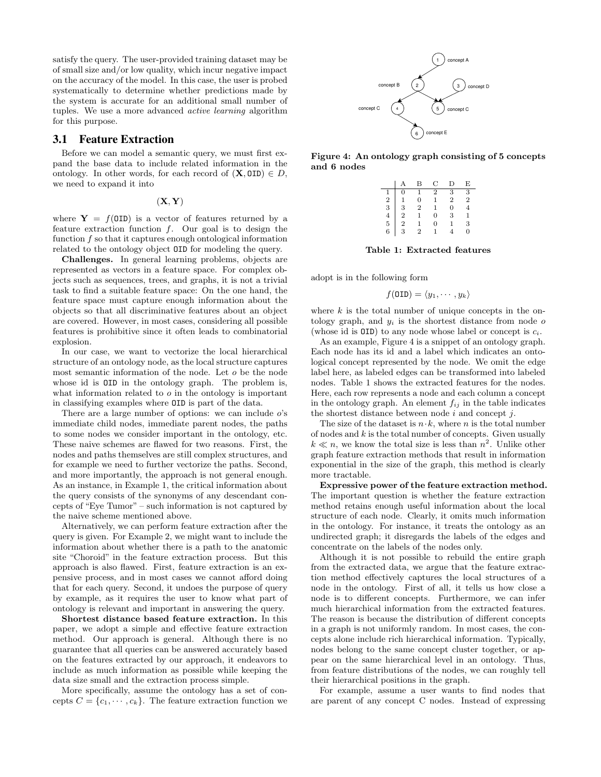satisfy the query. The user-provided training dataset may be of small size and/or low quality, which incur negative impact on the accuracy of the model. In this case, the user is probed systematically to determine whether predictions made by the system is accurate for an additional small number of tuples. We use a more advanced active learning algorithm for this purpose.

## **3.1 Feature Extraction**

Before we can model a semantic query, we must first expand the base data to include related information in the ontology. In other words, for each record of  $(X, \text{OLD}) \in D$ , we need to expand it into

 $(X, Y)$ 

where  $Y = f(0I)$  is a vector of features returned by a feature extraction function  $f$ . Our goal is to design the function  $f$  so that it captures enough ontological information related to the ontology object OID for modeling the query.

Challenges. In general learning problems, objects are represented as vectors in a feature space. For complex objects such as sequences, trees, and graphs, it is not a trivial task to find a suitable feature space: On the one hand, the feature space must capture enough information about the objects so that all discriminative features about an object are covered. However, in most cases, considering all possible features is prohibitive since it often leads to combinatorial explosion.

In our case, we want to vectorize the local hierarchical structure of an ontology node, as the local structure captures most semantic information of the node. Let  $o$  be the node whose id is  $OID$  in the ontology graph. The problem is, what information related to  $o$  in the ontology is important in classifying examples where OID is part of the data.

There are a large number of options: we can include  $o$ 's immediate child nodes, immediate parent nodes, the paths to some nodes we consider important in the ontology, etc. These naive schemes are flawed for two reasons. First, the nodes and paths themselves are still complex structures, and for example we need to further vectorize the paths. Second, and more importantly, the approach is not general enough. As an instance, in Example 1, the critical information about the query consists of the synonyms of any descendant concepts of "Eye Tumor" – such information is not captured by the naive scheme mentioned above.

Alternatively, we can perform feature extraction after the query is given. For Example 2, we might want to include the information about whether there is a path to the anatomic site "Choroid" in the feature extraction process. But this approach is also flawed. First, feature extraction is an expensive process, and in most cases we cannot afford doing that for each query. Second, it undoes the purpose of query by example, as it requires the user to know what part of ontology is relevant and important in answering the query.

Shortest distance based feature extraction. In this paper, we adopt a simple and effective feature extraction method. Our approach is general. Although there is no guarantee that all queries can be answered accurately based on the features extracted by our approach, it endeavors to include as much information as possible while keeping the data size small and the extraction process simple.

More specifically, assume the ontology has a set of concepts  $C = \{c_1, \dots, c_k\}$ . The feature extraction function we



Figure 4: An ontology graph consisting of 5 concepts and 6 nodes

|                                                      |                                                      | $\mathbf{B}$   | C              | D.             | E              |
|------------------------------------------------------|------------------------------------------------------|----------------|----------------|----------------|----------------|
|                                                      | $\boldsymbol{0}$                                     | $\Gamma$       | $\overline{2}$ | $\overline{3}$ | 3              |
|                                                      |                                                      | $\overline{0}$ | $\mathbf{1}$   | $\overline{2}$ | $\overline{2}$ |
|                                                      |                                                      | $\frac{1}{2}$  | $\mathbf{1}$   | $\Omega$       |                |
| $\begin{array}{c} 1 \ 2 \ 3 \ 4 \ 5 \ 6 \end{array}$ |                                                      | $\mathbf{1}$   | $\overline{0}$ | 3              | $\mathbf{1}$   |
|                                                      |                                                      | $\mathbf{1}$   | 0              |                | 3              |
|                                                      | $\begin{array}{c} 0 \\ 1 \\ 3 \\ 2 \\ 3 \end{array}$ | $\frac{1}{2}$  | 1              |                |                |

Table 1: Extracted features

adopt is in the following form

$$
f(\mathtt{OLD}) = \langle y_1, \cdots, y_k \rangle
$$

where  $k$  is the total number of unique concepts in the ontology graph, and  $y_i$  is the shortest distance from node  $o$ (whose id is  $\text{OLD}$ ) to any node whose label or concept is  $c_i$ .

As an example, Figure 4 is a snippet of an ontology graph. Each node has its id and a label which indicates an ontological concept represented by the node. We omit the edge label here, as labeled edges can be transformed into labeled nodes. Table 1 shows the extracted features for the nodes. Here, each row represents a node and each column a concept in the ontology graph. An element  $f_{ij}$  in the table indicates the shortest distance between node  $i$  and concept  $j$ .

The size of the dataset is  $n \cdot k$ , where n is the total number of nodes and  $k$  is the total number of concepts. Given usually  $k \ll n$ , we know the total size is less than  $n^2$ . Unlike other graph feature extraction methods that result in information exponential in the size of the graph, this method is clearly more tractable.

Expressive power of the feature extraction method. The important question is whether the feature extraction method retains enough useful information about the local structure of each node. Clearly, it omits much information in the ontology. For instance, it treats the ontology as an undirected graph; it disregards the labels of the edges and concentrate on the labels of the nodes only.

Although it is not possible to rebuild the entire graph from the extracted data, we argue that the feature extraction method effectively captures the local structures of a node in the ontology. First of all, it tells us how close a node is to different concepts. Furthermore, we can infer much hierarchical information from the extracted features. The reason is because the distribution of different concepts in a graph is not uniformly random. In most cases, the concepts alone include rich hierarchical information. Typically, nodes belong to the same concept cluster together, or appear on the same hierarchical level in an ontology. Thus, from feature distributions of the nodes, we can roughly tell their hierarchical positions in the graph.

For example, assume a user wants to find nodes that are parent of any concept C nodes. Instead of expressing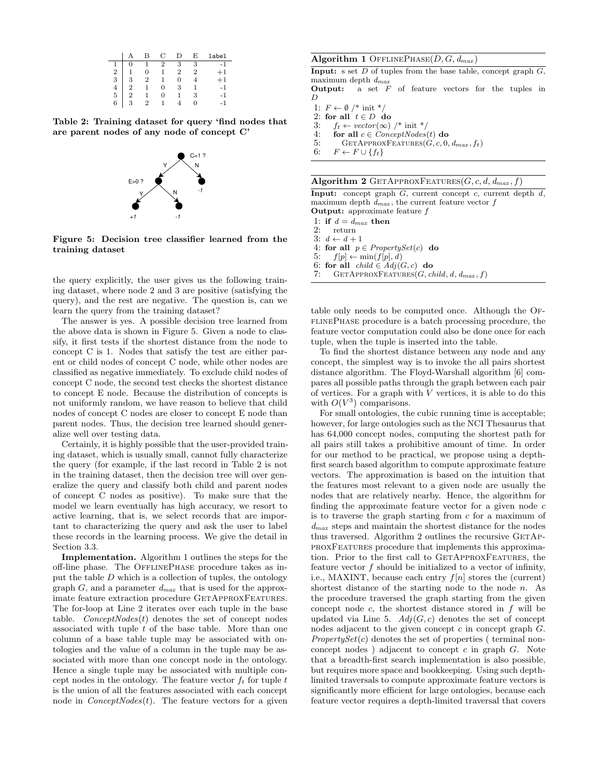|                  |                | C | I)             | E.             | label |
|------------------|----------------|---|----------------|----------------|-------|
|                  |                | 2 | 3              | 3              |       |
| $\boldsymbol{2}$ | $\overline{0}$ | 1 | $\overline{2}$ | $\overline{2}$ | $+1$  |
| 3                |                |   | 0              |                |       |
| 4                |                |   | З              |                |       |
| 5                |                |   |                | 3              |       |
| 6                |                | 1 |                |                |       |

Table 2: Training dataset for query 'find nodes that are parent nodes of any node of concept C'



Figure 5: Decision tree classifier learned from the training dataset

the query explicitly, the user gives us the following training dataset, where node 2 and 3 are positive (satisfying the query), and the rest are negative. The question is, can we learn the query from the training dataset?

The answer is yes. A possible decision tree learned from the above data is shown in Figure 5. Given a node to classify, it first tests if the shortest distance from the node to concept C is 1. Nodes that satisfy the test are either parent or child nodes of concept C node, while other nodes are classified as negative immediately. To exclude child nodes of concept C node, the second test checks the shortest distance to concept E node. Because the distribution of concepts is not uniformly random, we have reason to believe that child nodes of concept C nodes are closer to concept E node than parent nodes. Thus, the decision tree learned should generalize well over testing data.

Certainly, it is highly possible that the user-provided training dataset, which is usually small, cannot fully characterize the query (for example, if the last record in Table 2 is not in the training dataset, then the decision tree will over generalize the query and classify both child and parent nodes of concept C nodes as positive). To make sure that the model we learn eventually has high accuracy, we resort to active learning, that is, we select records that are important to characterizing the query and ask the user to label these records in the learning process. We give the detail in Section 3.3.

Implementation. Algorithm 1 outlines the steps for the off-line phase. The OFFLINEPHASE procedure takes as input the table  $D$  which is a collection of tuples, the ontology graph  $G$ , and a parameter  $d_{max}$  that is used for the approximate feature extraction procedure GETAPPROXFEATURES. The for-loop at Line 2 iterates over each tuple in the base table.  $ConceptNodes(t)$  denotes the set of concept nodes associated with tuple  $t$  of the base table. More than one column of a base table tuple may be associated with ontologies and the value of a column in the tuple may be associated with more than one concept node in the ontology. Hence a single tuple may be associated with multiple concept nodes in the ontology. The feature vector  $f_t$  for tuple  $t$ is the union of all the features associated with each concept node in  $ConceptNodes(t)$ . The feature vectors for a given

#### Algorithm 1 OFFLINEPHASE $(D, G, d_{max})$

Input: s set  $D$  of tuples from the base table, concept graph  $G$ , maximum depth  $d_{max}$ **Output:** a set  $F$  of feature vectors for the tuples in  $\overline{D}$ 

1:  $F \leftarrow \emptyset$  /\* init \*/

2: for all  $t \in D$  do

- 3:  $f_t \leftarrow vector(\infty)$  /\* init \*/<br>4: **for all**  $c \in ConceptNodes($
- 4: for all  $c \in ConceptNodes(t)$  do<br>5: GETAPPROXFEATURES( $G, c, 0$ )
- 5: GETAPPROXFEATURES $(G, c, 0, d_{max}, ft)$ <br>6:  $F \leftarrow F \cup \{ ft\}$
- $F \leftarrow F \cup \{f_t\}$

# Algorithm 2 GETAPPROXFEATURES $(G, c, d, d_{max}, f)$

Input: concept graph  $G$ , current concept  $c$ , current depth  $d$ , maximum depth  $d_{max}$ , the current feature vector  $f$ **Output:** approximate feature  $f$ 

1: if  $d = d_{max}$  then<br>2: return

- return
- 3:  $d \leftarrow d+1$
- 4: for all  $p \in PropertySet(c)$  do
- 5:  $f[p] \leftarrow \min(f[p], d)$
- 6: for all child  $\in$  Adj $(G, c)$  do<br>7: GETAPPROXFEATURES $(G, c)$
- $GETAPPROXFEATURES(G, child, d, d_{max}, f)$

table only needs to be computed once. Although the OfflinePhase procedure is a batch processing procedure, the feature vector computation could also be done once for each tuple, when the tuple is inserted into the table.

To find the shortest distance between any node and any concept, the simplest way is to invoke the all pairs shortest distance algorithm. The Floyd-Warshall algorithm [6] compares all possible paths through the graph between each pair of vertices. For a graph with  $V$  vertices, it is able to do this with  $O(V^3)$  comparisons.

For small ontologies, the cubic running time is acceptable; however, for large ontologies such as the NCI Thesaurus that has 64,000 concept nodes, computing the shortest path for all pairs still takes a prohibitive amount of time. In order for our method to be practical, we propose using a depthfirst search based algorithm to compute approximate feature vectors. The approximation is based on the intuition that the features most relevant to a given node are usually the nodes that are relatively nearby. Hence, the algorithm for finding the approximate feature vector for a given node  $c$ is to traverse the graph starting from  $c$  for a maximum of  $d_{max}$  steps and maintain the shortest distance for the nodes thus traversed. Algorithm 2 outlines the recursive GETAPproxFeatures procedure that implements this approximation. Prior to the first call to GETAPPROXFEATURES, the feature vector  $f$  should be initialized to a vector of infinity, i.e., MAXINT, because each entry  $f[n]$  stores the (current) shortest distance of the starting node to the node  $n$ . As the procedure traversed the graph starting from the given concept node  $c$ , the shortest distance stored in  $f$  will be updated via Line 5.  $Adj(G, c)$  denotes the set of concept nodes adjacent to the given concept  $c$  in concept graph  $G$ . PropertySet $(c)$  denotes the set of properties ( terminal nonconcept nodes) adjacent to concept  $c$  in graph  $G$ . Note that a breadth-first search implementation is also possible, but requires more space and bookkeeping. Using such depthlimited traversals to compute approximate feature vectors is significantly more efficient for large ontologies, because each feature vector requires a depth-limited traversal that covers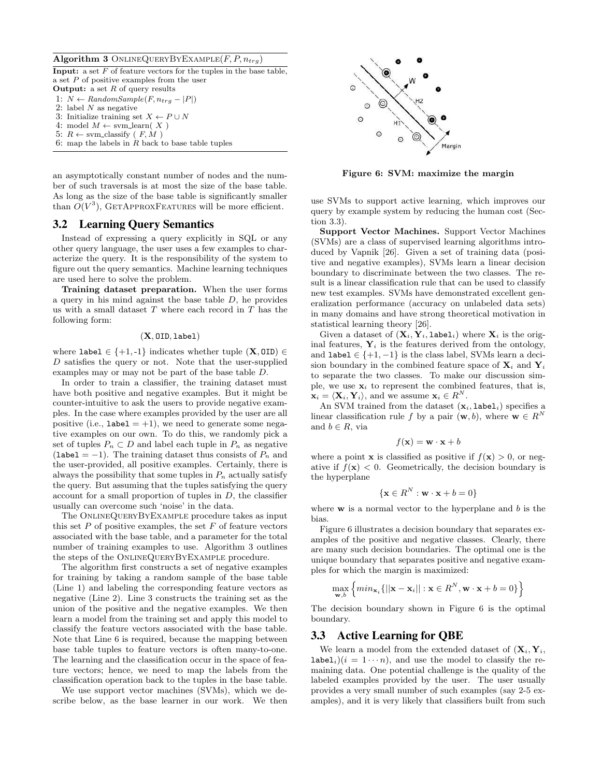## Algorithm 3 ONLINEQUERYBYEXAMPLE $(F, P, n_{trg})$

**Input:** a set  $F$  of feature vectors for the tuples in the base table, a set  $P$  of positive examples from the user **Output:** a set  $R$  of query results

- 1:  $N \leftarrow RandomSample(F, n_{trg} |P|)$
- 2: label  $N$  as negative
- 3: Initialize training set  $X \leftarrow P \cup N$
- 4: model  $M \leftarrow \text{sym\_learn}(X)$
- 5:  $R \leftarrow \text{sum\_classify} (F, M)$
- 6: map the labels in  $R$  back to base table tuples

an asymptotically constant number of nodes and the number of such traversals is at most the size of the base table. As long as the size of the base table is significantly smaller than  $O(V^3)$ , GETAPPROXFEATURES will be more efficient.

## **3.2 Learning Query Semantics**

Instead of expressing a query explicitly in SQL or any other query language, the user uses a few examples to characterize the query. It is the responsibility of the system to figure out the query semantics. Machine learning techniques are used here to solve the problem.

Training dataset preparation. When the user forms a query in his mind against the base table  $D$ , he provides us with a small dataset  $T$  where each record in  $T$  has the following form:

#### $(X,$  OID, label)

where label  $\in \{+1,-1\}$  indicates whether tuple  $(X, OID) \in$  $D$  satisfies the query or not. Note that the user-supplied examples may or may not be part of the base table  $D$ .

In order to train a classifier, the training dataset must have both positive and negative examples. But it might be counter-intuitive to ask the users to provide negative examples. In the case where examples provided by the user are all positive (i.e.,  $\texttt{label} = +1$ ), we need to generate some negative examples on our own. To do this, we randomly pick a set of tuples  $P_n \subset D$  and label each tuple in  $P_n$  as negative (label =  $-1$ ). The training dataset thus consists of  $P_n$  and the user-provided, all positive examples. Certainly, there is always the possibility that some tuples in  $P_n$  actually satisfy the query. But assuming that the tuples satisfying the query account for a small proportion of tuples in  $D$ , the classifier usually can overcome such 'noise' in the data.

The OnlineQueryByExample procedure takes as input this set  $P$  of positive examples, the set  $F$  of feature vectors associated with the base table, and a parameter for the total number of training examples to use. Algorithm 3 outlines the steps of the OnlineQueryByExample procedure.

The algorithm first constructs a set of negative examples for training by taking a random sample of the base table (Line 1) and labeling the corresponding feature vectors as negative (Line 2). Line 3 constructs the training set as the union of the positive and the negative examples. We then learn a model from the training set and apply this model to classify the feature vectors associated with the base table. Note that Line 6 is required, because the mapping between base table tuples to feature vectors is often many-to-one. The learning and the classification occur in the space of feature vectors; hence, we need to map the labels from the classification operation back to the tuples in the base table.

We use support vector machines (SVMs), which we describe below, as the base learner in our work. We then



Figure 6: SVM: maximize the margin

use SVMs to support active learning, which improves our query by example system by reducing the human cost (Section 3.3).

Support Vector Machines. Support Vector Machines (SVMs) are a class of supervised learning algorithms introduced by Vapnik [26]. Given a set of training data (positive and negative examples), SVMs learn a linear decision boundary to discriminate between the two classes. The result is a linear classification rule that can be used to classify new test examples. SVMs have demonstrated excellent generalization performance (accuracy on unlabeled data sets) in many domains and have strong theoretical motivation in statistical learning theory [26].

Given a dataset of  $(X_i, Y_i, \texttt{label}_i)$  where  $X_i$  is the original features,  $Y_i$  is the features derived from the ontology, and label  $\in \{+1, -1\}$  is the class label, SVMs learn a decision boundary in the combined feature space of  $\mathbf{X}_i$  and  $\mathbf{Y}_i$ to separate the two classes. To make our discussion simple, we use  $x_i$  to represent the combined features, that is,  $\mathbf{x}_i = \langle \mathbf{X}_i, \mathbf{Y}_i \rangle$ , and we assume  $\mathbf{x}_i \in R^N$ .

An SVM trained from the dataset  $(\mathbf{x}_i, \texttt{label}_i)$  specifies a linear classification rule f by a pair  $(\mathbf{w}, b)$ , where  $\mathbf{w} \in \mathbb{R}^N$ and  $b \in R$ , via

$$
f(\mathbf{x}) = \mathbf{w} \cdot \mathbf{x} + b
$$

where a point **x** is classified as positive if  $f(\mathbf{x}) > 0$ , or negative if  $f(\mathbf{x}) < 0$ . Geometrically, the decision boundary is the hyperplane

$$
\{\mathbf x \in R^N : \mathbf w \cdot \mathbf x + b = 0\}
$$

where  $w$  is a normal vector to the hyperplane and  $b$  is the bias.

Figure 6 illustrates a decision boundary that separates examples of the positive and negative classes. Clearly, there are many such decision boundaries. The optimal one is the unique boundary that separates positive and negative examples for which the margin is maximized:

$$
\max_{\mathbf{w},b}\left\{ \min_{\mathbf{x}_i} \{ ||\mathbf{x} - \mathbf{x}_i|| : \mathbf{x} \in R^N, \mathbf{w} \cdot \mathbf{x} + b = 0 \} \right\}
$$

The decision boundary shown in Figure 6 is the optimal boundary.

## **3.3 Active Learning for QBE**

We learn a model from the extended dataset of  $(\mathbf{X}_i, \mathbf{Y}_i)$ , label<sub>i</sub> $(i = 1 \cdots n)$ , and use the model to classify the remaining data. One potential challenge is the quality of the labeled examples provided by the user. The user usually provides a very small number of such examples (say 2-5 examples), and it is very likely that classifiers built from such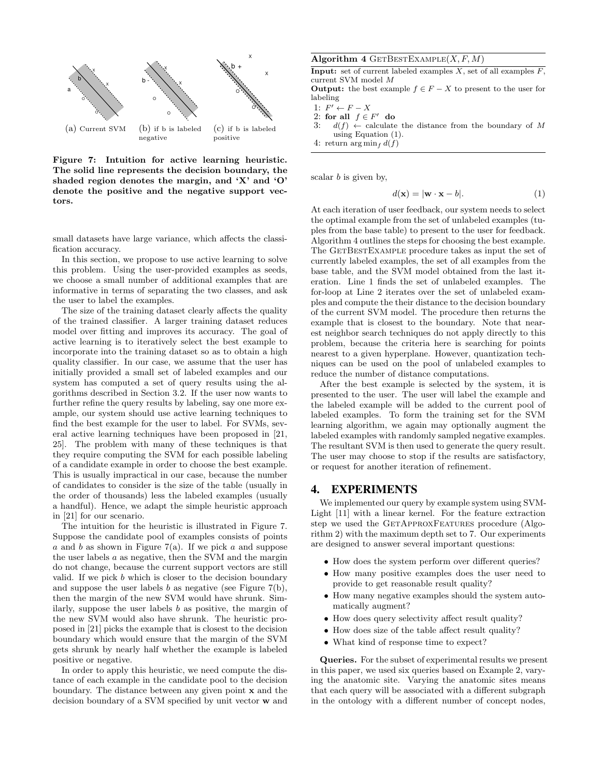

Figure 7: Intuition for active learning heuristic. The solid line represents the decision boundary, the shaded region denotes the margin, and 'X' and 'O' denote the positive and the negative support vectors.

small datasets have large variance, which affects the classification accuracy.

In this section, we propose to use active learning to solve this problem. Using the user-provided examples as seeds, we choose a small number of additional examples that are informative in terms of separating the two classes, and ask the user to label the examples.

The size of the training dataset clearly affects the quality of the trained classifier. A larger training dataset reduces model over fitting and improves its accuracy. The goal of active learning is to iteratively select the best example to incorporate into the training dataset so as to obtain a high quality classifier. In our case, we assume that the user has initially provided a small set of labeled examples and our system has computed a set of query results using the algorithms described in Section 3.2. If the user now wants to further refine the query results by labeling, say one more example, our system should use active learning techniques to find the best example for the user to label. For SVMs, several active learning techniques have been proposed in [21, 25]. The problem with many of these techniques is that they require computing the SVM for each possible labeling of a candidate example in order to choose the best example. This is usually impractical in our case, because the number of candidates to consider is the size of the table (usually in the order of thousands) less the labeled examples (usually a handful). Hence, we adapt the simple heuristic approach in [21] for our scenario.

The intuition for the heuristic is illustrated in Figure 7. Suppose the candidate pool of examples consists of points  $a$  and  $b$  as shown in Figure 7(a). If we pick  $a$  and suppose the user labels  $a$  as negative, then the SVM and the margin do not change, because the current support vectors are still valid. If we pick  $b$  which is closer to the decision boundary and suppose the user labels  $b$  as negative (see Figure 7(b), then the margin of the new SVM would have shrunk. Similarly, suppose the user labels  $b$  as positive, the margin of the new SVM would also have shrunk. The heuristic proposed in [21] picks the example that is closest to the decision boundary which would ensure that the margin of the SVM gets shrunk by nearly half whether the example is labeled positive or negative.

In order to apply this heuristic, we need compute the distance of each example in the candidate pool to the decision boundary. The distance between any given point x and the decision boundary of a SVM specified by unit vector w and

#### Algorithm 4 GETBESTEXAMPLE $(X, F, M)$

**Input:** set of current labeled examples  $X$ , set of all examples  $F$ , current SVM model  $M$ **Output:** the best example  $f \in F - X$  to present to the user for

- labeling 1:  $F' \leftarrow F - X$
- 2: for all  $f \in F'$  do
- 

3:  $d(f) \leftarrow$  calculate the distance from the boundary of M using Equation (1). 4: return  $\arg \min_f d(f)$ 

scalar  $b$  is given by,

$$
d(\mathbf{x}) = |\mathbf{w} \cdot \mathbf{x} - b|.
$$
 (1)

At each iteration of user feedback, our system needs to select the optimal example from the set of unlabeled examples (tuples from the base table) to present to the user for feedback. Algorithm 4 outlines the steps for choosing the best example. The GETBESTEXAMPLE procedure takes as input the set of currently labeled examples, the set of all examples from the base table, and the SVM model obtained from the last iteration. Line 1 finds the set of unlabeled examples. The for-loop at Line 2 iterates over the set of unlabeled examples and compute the their distance to the decision boundary of the current SVM model. The procedure then returns the example that is closest to the boundary. Note that nearest neighbor search techniques do not apply directly to this problem, because the criteria here is searching for points nearest to a given hyperplane. However, quantization techniques can be used on the pool of unlabeled examples to reduce the number of distance computations.

After the best example is selected by the system, it is presented to the user. The user will label the example and the labeled example will be added to the current pool of labeled examples. To form the training set for the SVM learning algorithm, we again may optionally augment the labeled examples with randomly sampled negative examples. The resultant SVM is then used to generate the query result. The user may choose to stop if the results are satisfactory, or request for another iteration of refinement.

## **4. EXPERIMENTS**

We implemented our query by example system using SVM-Light [11] with a linear kernel. For the feature extraction step we used the GETAPPROXFEATURES procedure (Algorithm 2) with the maximum depth set to 7. Our experiments are designed to answer several important questions:

- ∙ How does the system perform over different queries?
- ∙ How many positive examples does the user need to provide to get reasonable result quality?
- ∙ How many negative examples should the system automatically augment?
- ∙ How does query selectivity affect result quality?
- ∙ How does size of the table affect result quality?
- ∙ What kind of response time to expect?

Queries. For the subset of experimental results we present in this paper, we used six queries based on Example 2, varying the anatomic site. Varying the anatomic sites means that each query will be associated with a different subgraph in the ontology with a different number of concept nodes,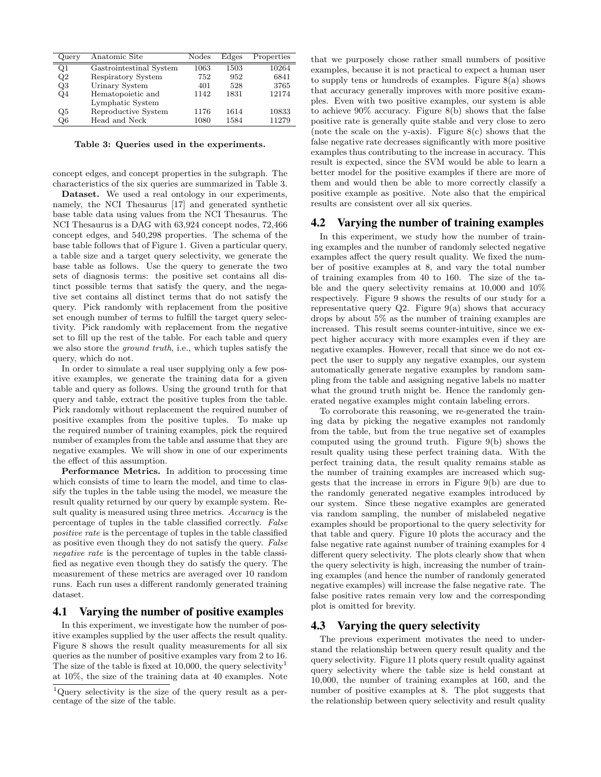| Query         | Anatomic Site           | <b>Nodes</b> | Edges | Properties |
|---------------|-------------------------|--------------|-------|------------|
| Q1            | Gastrointestinal System | 1063         | 1503  | 10264      |
| $\mathrm{Q}2$ | Respiratory System      | 752          | 952   | 6841       |
| Q3            | Urinary System          | 401          | 528   | 3765       |
| Q4            | Hematopoietic and       | 1142         | 1831  | 12174      |
|               | Lymphatic System        |              |       |            |
| Q5            | Reproductive System     | 1176         | 1614  | 10833      |
| Q6            | Head and Neck           | 1080         | 1584  | 11279      |

Table 3: Queries used in the experiments.

concept edges, and concept properties in the subgraph. The characteristics of the six queries are summarized in Table 3.

Dataset. We used a real ontology in our experiments, namely, the NCI Thesaurus [17] and generated synthetic base table data using values from the NCI Thesaurus. The NCI Thesaurus is a DAG with 63,924 concept nodes, 72,466 concept edges, and 540,298 properties. The schema of the base table follows that of Figure 1. Given a particular query, a table size and a target query selectivity, we generate the base table as follows. Use the query to generate the two sets of diagnosis terms: the positive set contains all distinct possible terms that satisfy the query, and the negative set contains all distinct terms that do not satisfy the query. Pick randomly with replacement from the positive set enough number of terms to fulfill the target query selectivity. Pick randomly with replacement from the negative set to fill up the rest of the table. For each table and query we also store the ground truth, i.e., which tuples satisfy the query, which do not.

In order to simulate a real user supplying only a few positive examples, we generate the training data for a given table and query as follows. Using the ground truth for that query and table, extract the positive tuples from the table. Pick randomly without replacement the required number of positive examples from the positive tuples. To make up the required number of training examples, pick the required number of examples from the table and assume that they are negative examples. We will show in one of our experiments the effect of this assumption.

Performance Metrics. In addition to processing time which consists of time to learn the model, and time to classify the tuples in the table using the model, we measure the result quality returned by our query by example system. Result quality is measured using three metrics. Accuracy is the percentage of tuples in the table classified correctly. False positive rate is the percentage of tuples in the table classified as positive even though they do not satisfy the query. False negative rate is the percentage of tuples in the table classified as negative even though they do satisfy the query. The measurement of these metrics are averaged over 10 random runs. Each run uses a different randomly generated training dataset.

# **4.1 Varying the number of positive examples**

In this experiment, we investigate how the number of positive examples supplied by the user affects the result quality. Figure 8 shows the result quality measurements for all six queries as the number of positive examples vary from 2 to 16. The size of the table is fixed at 10,000, the query selectivity<sup>1</sup> at 10%, the size of the training data at 40 examples. Note

that we purposely chose rather small numbers of positive examples, because it is not practical to expect a human user to supply tens or hundreds of examples. Figure 8(a) shows that accuracy generally improves with more positive examples. Even with two positive examples, our system is able to achieve 90% accuracy. Figure 8(b) shows that the false positive rate is generally quite stable and very close to zero (note the scale on the y-axis). Figure  $8(c)$  shows that the false negative rate decreases significantly with more positive examples thus contributing to the increase in accuracy. This result is expected, since the SVM would be able to learn a better model for the positive examples if there are more of them and would then be able to more correctly classify a positive example as positive. Note also that the empirical results are consistent over all six queries.

#### **4.2 Varying the number of training examples**

In this experiment, we study how the number of training examples and the number of randomly selected negative examples affect the query result quality. We fixed the number of positive examples at 8, and vary the total number of training examples from 40 to 160. The size of the table and the query selectivity remains at 10,000 and 10% respectively. Figure 9 shows the results of our study for a representative query  $Q2$ . Figure  $9(a)$  shows that accuracy drops by about 5% as the number of training examples are increased. This result seems counter-intuitive, since we expect higher accuracy with more examples even if they are negative examples. However, recall that since we do not expect the user to supply any negative examples, our system automatically generate negative examples by random sampling from the table and assigning negative labels no matter what the ground truth might be. Hence the randomly generated negative examples might contain labeling errors.

To corroborate this reasoning, we re-generated the training data by picking the negative examples not randomly from the table, but from the true negative set of examples computed using the ground truth. Figure 9(b) shows the result quality using these perfect training data. With the perfect training data, the result quality remains stable as the number of training examples are increased which suggests that the increase in errors in Figure 9(b) are due to the randomly generated negative examples introduced by our system. Since these negative examples are generated via random sampling, the number of mislabeled negative examples should be proportional to the query selectivity for that table and query. Figure 10 plots the accuracy and the false negative rate against number of training examples for 4 different query selectivity. The plots clearly show that when the query selectivity is high, increasing the number of training examples (and hence the number of randomly generated negative examples) will increase the false negative rate. The false positive rates remain very low and the corresponding plot is omitted for brevity.

## **4.3 Varying the query selectivity**

The previous experiment motivates the need to understand the relationship between query result quality and the query selectivity. Figure 11 plots query result quality against query selectivity where the table size is held constant at 10,000, the number of training examples at 160, and the number of positive examples at 8. The plot suggests that the relationship between query selectivity and result quality

 $1$ Query selectivity is the size of the query result as a percentage of the size of the table.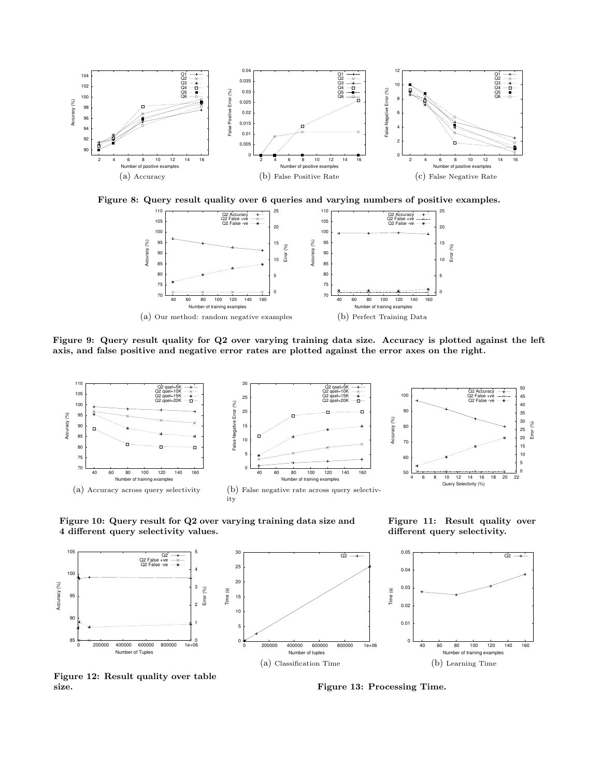

Figure 8: Query result quality over 6 queries and varying numbers of positive examples.



Figure 9: Query result quality for Q2 over varying training data size. Accuracy is plotted against the left axis, and false positive and negative error rates are plotted against the error axes on the right.



Figure 10: Query result for Q2 over varying training data size and 4 different query selectivity values.

Figure 11: Result quality over different query selectivity.



Figure 12: Result quality over table size.

Figure 13: Processing Time.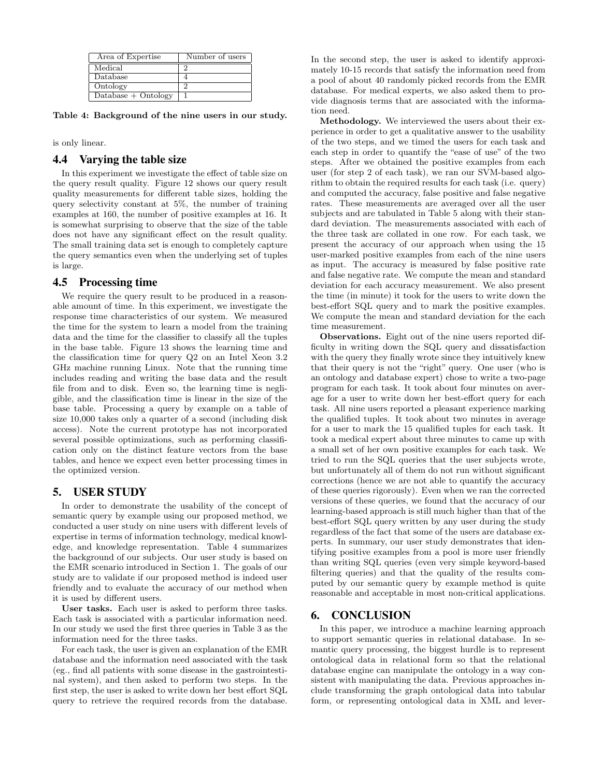| Area of Expertise     | Number of users |
|-----------------------|-----------------|
| Medical               |                 |
| Database              |                 |
| Ontology              |                 |
| Database $+$ Ontology |                 |

Table 4: Background of the nine users in our study.

is only linear.

### **4.4 Varying the table size**

In this experiment we investigate the effect of table size on the query result quality. Figure 12 shows our query result quality measurements for different table sizes, holding the query selectivity constant at 5%, the number of training examples at 160, the number of positive examples at 16. It is somewhat surprising to observe that the size of the table does not have any significant effect on the result quality. The small training data set is enough to completely capture the query semantics even when the underlying set of tuples is large.

## **4.5 Processing time**

We require the query result to be produced in a reasonable amount of time. In this experiment, we investigate the response time characteristics of our system. We measured the time for the system to learn a model from the training data and the time for the classifier to classify all the tuples in the base table. Figure 13 shows the learning time and the classification time for query Q2 on an Intel Xeon 3.2 GHz machine running Linux. Note that the running time includes reading and writing the base data and the result file from and to disk. Even so, the learning time is negligible, and the classification time is linear in the size of the base table. Processing a query by example on a table of size 10,000 takes only a quarter of a second (including disk access). Note the current prototype has not incorporated several possible optimizations, such as performing classification only on the distinct feature vectors from the base tables, and hence we expect even better processing times in the optimized version.

## **5. USER STUDY**

In order to demonstrate the usability of the concept of semantic query by example using our proposed method, we conducted a user study on nine users with different levels of expertise in terms of information technology, medical knowledge, and knowledge representation. Table 4 summarizes the background of our subjects. Our user study is based on the EMR scenario introduced in Section 1. The goals of our study are to validate if our proposed method is indeed user friendly and to evaluate the accuracy of our method when it is used by different users.

User tasks. Each user is asked to perform three tasks. Each task is associated with a particular information need. In our study we used the first three queries in Table 3 as the information need for the three tasks.

For each task, the user is given an explanation of the EMR database and the information need associated with the task (eg., find all patients with some disease in the gastrointestinal system), and then asked to perform two steps. In the first step, the user is asked to write down her best effort SQL query to retrieve the required records from the database.

In the second step, the user is asked to identify approximately 10-15 records that satisfy the information need from a pool of about 40 randomly picked records from the EMR database. For medical experts, we also asked them to provide diagnosis terms that are associated with the information need.

Methodology. We interviewed the users about their experience in order to get a qualitative answer to the usability of the two steps, and we timed the users for each task and each step in order to quantify the "ease of use" of the two steps. After we obtained the positive examples from each user (for step 2 of each task), we ran our SVM-based algorithm to obtain the required results for each task (i.e. query) and computed the accuracy, false positive and false negative rates. These measurements are averaged over all the user subjects and are tabulated in Table 5 along with their standard deviation. The measurements associated with each of the three task are collated in one row. For each task, we present the accuracy of our approach when using the 15 user-marked positive examples from each of the nine users as input. The accuracy is measured by false positive rate and false negative rate. We compute the mean and standard deviation for each accuracy measurement. We also present the time (in minute) it took for the users to write down the best-effort SQL query and to mark the positive examples. We compute the mean and standard deviation for the each time measurement.

Observations. Eight out of the nine users reported difficulty in writing down the SQL query and dissatisfaction with the query they finally wrote since they intuitively knew that their query is not the "right" query. One user (who is an ontology and database expert) chose to write a two-page program for each task. It took about four minutes on average for a user to write down her best-effort query for each task. All nine users reported a pleasant experience marking the qualified tuples. It took about two minutes in average for a user to mark the 15 qualified tuples for each task. It took a medical expert about three minutes to came up with a small set of her own positive examples for each task. We tried to run the SQL queries that the user subjects wrote, but unfortunately all of them do not run without significant corrections (hence we are not able to quantify the accuracy of these queries rigorously). Even when we ran the corrected versions of these queries, we found that the accuracy of our learning-based approach is still much higher than that of the best-effort SQL query written by any user during the study regardless of the fact that some of the users are database experts. In summary, our user study demonstrates that identifying positive examples from a pool is more user friendly than writing SQL queries (even very simple keyword-based filtering queries) and that the quality of the results computed by our semantic query by example method is quite reasonable and acceptable in most non-critical applications.

# **6. CONCLUSION**

In this paper, we introduce a machine learning approach to support semantic queries in relational database. In semantic query processing, the biggest hurdle is to represent ontological data in relational form so that the relational database engine can manipulate the ontology in a way consistent with manipulating the data. Previous approaches include transforming the graph ontological data into tabular form, or representing ontological data in XML and lever-